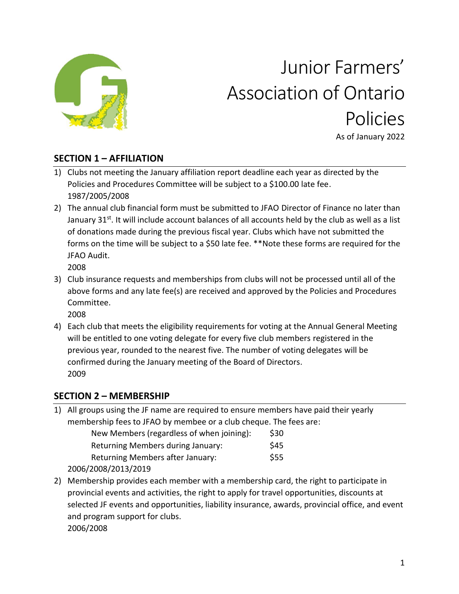

# Junior Farmers' Association of Ontario Policies As of January 2022

## **SECTION 1 – AFFILIATION**

- 1) Clubs not meeting the January affiliation report deadline each year as directed by the Policies and Procedures Committee will be subject to a \$100.00 late fee. 1987/2005/2008
- 2) The annual club financial form must be submitted to JFAO Director of Finance no later than January 31<sup>st</sup>. It will include account balances of all accounts held by the club as well as a list of donations made during the previous fiscal year. Clubs which have not submitted the forms on the time will be subject to a \$50 late fee. \*\*Note these forms are required for the JFAO Audit.

2008

3) Club insurance requests and memberships from clubs will not be processed until all of the above forms and any late fee(s) are received and approved by the Policies and Procedures Committee.

2008

4) Each club that meets the eligibility requirements for voting at the Annual General Meeting will be entitled to one voting delegate for every five club members registered in the previous year, rounded to the nearest five. The number of voting delegates will be confirmed during the January meeting of the Board of Directors. 2009

## **SECTION 2 – MEMBERSHIP**

| 1) All groups using the JF name are required to ensure members have paid their yearly |      |  |  |  |
|---------------------------------------------------------------------------------------|------|--|--|--|
| membership fees to JFAO by membee or a club cheque. The fees are:                     |      |  |  |  |
| New Members (regardless of when joining):                                             | \$30 |  |  |  |
| Returning Members during January:                                                     | \$45 |  |  |  |
| Returning Members after January:                                                      | \$55 |  |  |  |
| 2006/2008/2013/2019                                                                   |      |  |  |  |
|                                                                                       |      |  |  |  |

2) Membership provides each member with a membership card, the right to participate in provincial events and activities, the right to apply for travel opportunities, discounts at selected JF events and opportunities, liability insurance, awards, provincial office, and event and program support for clubs. 2006/2008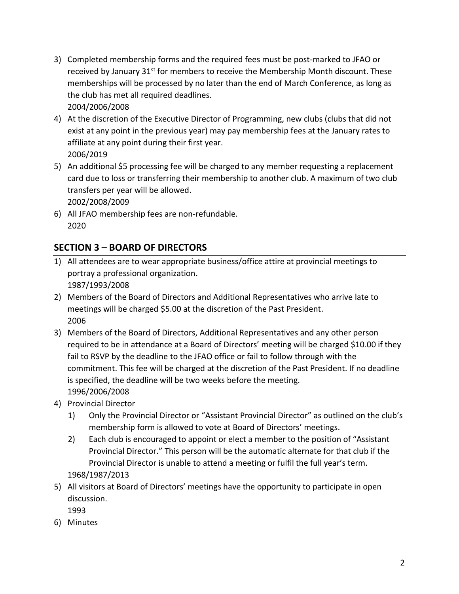- 3) Completed membership forms and the required fees must be post-marked to JFAO or received by January  $31^{st}$  for members to receive the Membership Month discount. These memberships will be processed by no later than the end of March Conference, as long as the club has met all required deadlines. 2004/2006/2008
- 4) At the discretion of the Executive Director of Programming, new clubs (clubs that did not exist at any point in the previous year) may pay membership fees at the January rates to affiliate at any point during their first year. 2006/2019
- 5) An additional \$5 processing fee will be charged to any member requesting a replacement card due to loss or transferring their membership to another club. A maximum of two club transfers per year will be allowed. 2002/2008/2009
- 6) All JFAO membership fees are non-refundable. 2020

# **SECTION 3 – BOARD OF DIRECTORS**

- 1) All attendees are to wear appropriate business/office attire at provincial meetings to portray a professional organization. 1987/1993/2008
- 2) Members of the Board of Directors and Additional Representatives who arrive late to meetings will be charged \$5.00 at the discretion of the Past President. 2006
- 3) Members of the Board of Directors, Additional Representatives and any other person required to be in attendance at a Board of Directors' meeting will be charged \$10.00 if they fail to RSVP by the deadline to the JFAO office or fail to follow through with the commitment. This fee will be charged at the discretion of the Past President. If no deadline is specified, the deadline will be two weeks before the meeting. 1996/2006/2008
- 4) Provincial Director
	- 1) Only the Provincial Director or "Assistant Provincial Director" as outlined on the club's membership form is allowed to vote at Board of Directors' meetings.
	- 2) Each club is encouraged to appoint or elect a member to the position of "Assistant Provincial Director." This person will be the automatic alternate for that club if the Provincial Director is unable to attend a meeting or fulfil the full year's term. 1968/1987/2013
- 5) All visitors at Board of Directors' meetings have the opportunity to participate in open discussion.
	- 1993
- 6) Minutes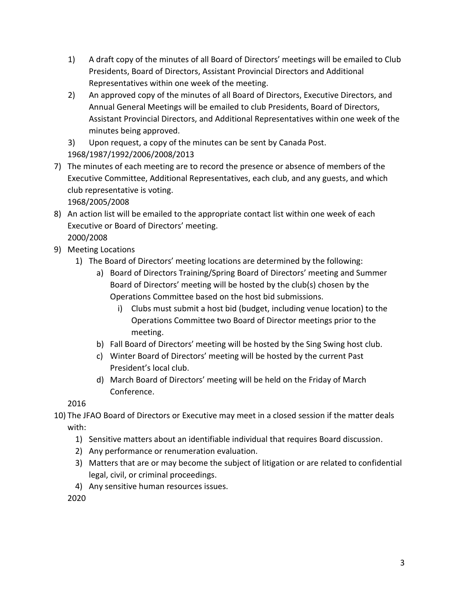- 1) A draft copy of the minutes of all Board of Directors' meetings will be emailed to Club Presidents, Board of Directors, Assistant Provincial Directors and Additional Representatives within one week of the meeting.
- 2) An approved copy of the minutes of all Board of Directors, Executive Directors, and Annual General Meetings will be emailed to club Presidents, Board of Directors, Assistant Provincial Directors, and Additional Representatives within one week of the minutes being approved.

3) Upon request, a copy of the minutes can be sent by Canada Post. 1968/1987/1992/2006/2008/2013

7) The minutes of each meeting are to record the presence or absence of members of the Executive Committee, Additional Representatives, each club, and any guests, and which club representative is voting. 1968/2005/2008

8) An action list will be emailed to the appropriate contact list within one week of each Executive or Board of Directors' meeting. 2000/2008

- 9) Meeting Locations
	- 1) The Board of Directors' meeting locations are determined by the following:
		- a) Board of Directors Training/Spring Board of Directors' meeting and Summer Board of Directors' meeting will be hosted by the club(s) chosen by the Operations Committee based on the host bid submissions.
			- i) Clubs must submit a host bid (budget, including venue location) to the Operations Committee two Board of Director meetings prior to the meeting.
		- b) Fall Board of Directors' meeting will be hosted by the Sing Swing host club.
		- c) Winter Board of Directors' meeting will be hosted by the current Past President's local club.
		- d) March Board of Directors' meeting will be held on the Friday of March Conference.

2016

10) The JFAO Board of Directors or Executive may meet in a closed session if the matter deals with:

- 1) Sensitive matters about an identifiable individual that requires Board discussion.
- 2) Any performance or renumeration evaluation.
- 3) Matters that are or may become the subject of litigation or are related to confidential legal, civil, or criminal proceedings.
- 4) Any sensitive human resources issues.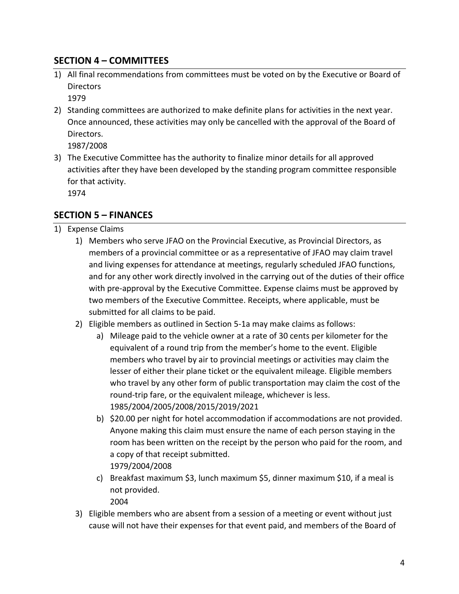## **SECTION 4 – COMMITTEES**

1) All final recommendations from committees must be voted on by the Executive or Board of **Directors** 

1979

2) Standing committees are authorized to make definite plans for activities in the next year. Once announced, these activities may only be cancelled with the approval of the Board of Directors.

1987/2008

3) The Executive Committee has the authority to finalize minor details for all approved activities after they have been developed by the standing program committee responsible for that activity.

1974

## **SECTION 5 – FINANCES**

- 1) Expense Claims
	- 1) Members who serve JFAO on the Provincial Executive, as Provincial Directors, as members of a provincial committee or as a representative of JFAO may claim travel and living expenses for attendance at meetings, regularly scheduled JFAO functions, and for any other work directly involved in the carrying out of the duties of their office with pre-approval by the Executive Committee. Expense claims must be approved by two members of the Executive Committee. Receipts, where applicable, must be submitted for all claims to be paid.
	- 2) Eligible members as outlined in Section 5-1a may make claims as follows:
		- a) Mileage paid to the vehicle owner at a rate of 30 cents per kilometer for the equivalent of a round trip from the member's home to the event. Eligible members who travel by air to provincial meetings or activities may claim the lesser of either their plane ticket or the equivalent mileage. Eligible members who travel by any other form of public transportation may claim the cost of the round-trip fare, or the equivalent mileage, whichever is less. 1985/2004/2005/2008/2015/2019/2021
		- b) \$20.00 per night for hotel accommodation if accommodations are not provided. Anyone making this claim must ensure the name of each person staying in the room has been written on the receipt by the person who paid for the room, and a copy of that receipt submitted. 1979/2004/2008
		- c) Breakfast maximum \$3, lunch maximum \$5, dinner maximum \$10, if a meal is not provided.

2004

3) Eligible members who are absent from a session of a meeting or event without just cause will not have their expenses for that event paid, and members of the Board of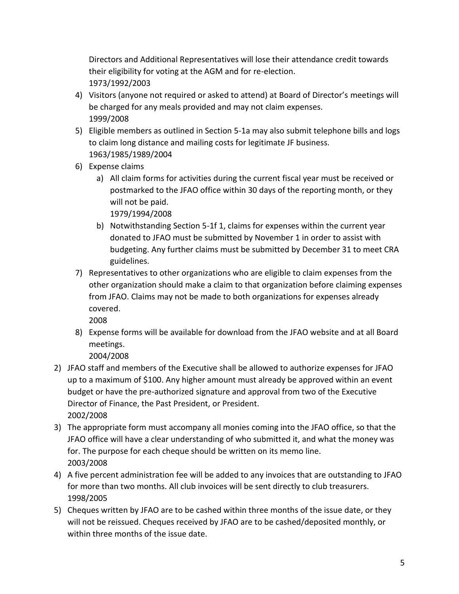Directors and Additional Representatives will lose their attendance credit towards their eligibility for voting at the AGM and for re-election. 1973/1992/2003

- 4) Visitors (anyone not required or asked to attend) at Board of Director's meetings will be charged for any meals provided and may not claim expenses. 1999/2008
- 5) Eligible members as outlined in Section 5-1a may also submit telephone bills and logs to claim long distance and mailing costs for legitimate JF business. 1963/1985/1989/2004
- 6) Expense claims
	- a) All claim forms for activities during the current fiscal year must be received or postmarked to the JFAO office within 30 days of the reporting month, or they will not be paid.

1979/1994/2008

- b) Notwithstanding Section 5-1f 1, claims for expenses within the current year donated to JFAO must be submitted by November 1 in order to assist with budgeting. Any further claims must be submitted by December 31 to meet CRA guidelines.
- 7) Representatives to other organizations who are eligible to claim expenses from the other organization should make a claim to that organization before claiming expenses from JFAO. Claims may not be made to both organizations for expenses already covered.

2008

8) Expense forms will be available for download from the JFAO website and at all Board meetings.

- 2) JFAO staff and members of the Executive shall be allowed to authorize expenses for JFAO up to a maximum of \$100. Any higher amount must already be approved within an event budget or have the pre-authorized signature and approval from two of the Executive Director of Finance, the Past President, or President. 2002/2008
- 3) The appropriate form must accompany all monies coming into the JFAO office, so that the JFAO office will have a clear understanding of who submitted it, and what the money was for. The purpose for each cheque should be written on its memo line. 2003/2008
- 4) A five percent administration fee will be added to any invoices that are outstanding to JFAO for more than two months. All club invoices will be sent directly to club treasurers. 1998/2005
- 5) Cheques written by JFAO are to be cashed within three months of the issue date, or they will not be reissued. Cheques received by JFAO are to be cashed/deposited monthly, or within three months of the issue date.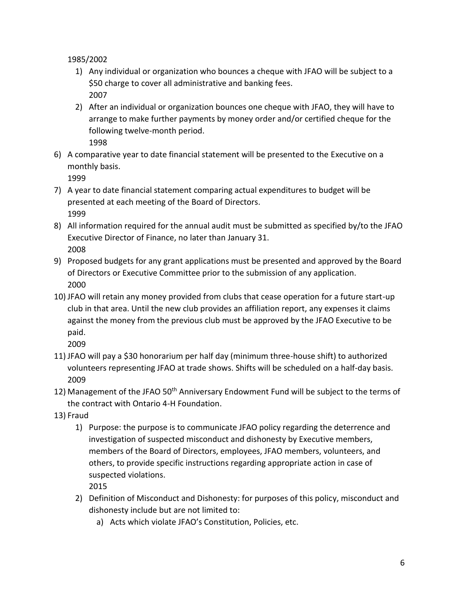1985/2002

- 1) Any individual or organization who bounces a cheque with JFAO will be subject to a \$50 charge to cover all administrative and banking fees. 2007
- 2) After an individual or organization bounces one cheque with JFAO, they will have to arrange to make further payments by money order and/or certified cheque for the following twelve-month period. 1998
- 6) A comparative year to date financial statement will be presented to the Executive on a monthly basis.

1999

- 7) A year to date financial statement comparing actual expenditures to budget will be presented at each meeting of the Board of Directors. 1999
- 8) All information required for the annual audit must be submitted as specified by/to the JFAO Executive Director of Finance, no later than January 31. 2008
- 9) Proposed budgets for any grant applications must be presented and approved by the Board of Directors or Executive Committee prior to the submission of any application. 2000
- 10) JFAO will retain any money provided from clubs that cease operation for a future start-up club in that area. Until the new club provides an affiliation report, any expenses it claims against the money from the previous club must be approved by the JFAO Executive to be paid.
	- 2009
- 11) JFAO will pay a \$30 honorarium per half day (minimum three-house shift) to authorized volunteers representing JFAO at trade shows. Shifts will be scheduled on a half-day basis. 2009
- 12) Management of the JFAO 50<sup>th</sup> Anniversary Endowment Fund will be subject to the terms of the contract with Ontario 4-H Foundation.
- 13) Fraud
	- 1) Purpose: the purpose is to communicate JFAO policy regarding the deterrence and investigation of suspected misconduct and dishonesty by Executive members, members of the Board of Directors, employees, JFAO members, volunteers, and others, to provide specific instructions regarding appropriate action in case of suspected violations.

- 2) Definition of Misconduct and Dishonesty: for purposes of this policy, misconduct and dishonesty include but are not limited to:
	- a) Acts which violate JFAO's Constitution, Policies, etc.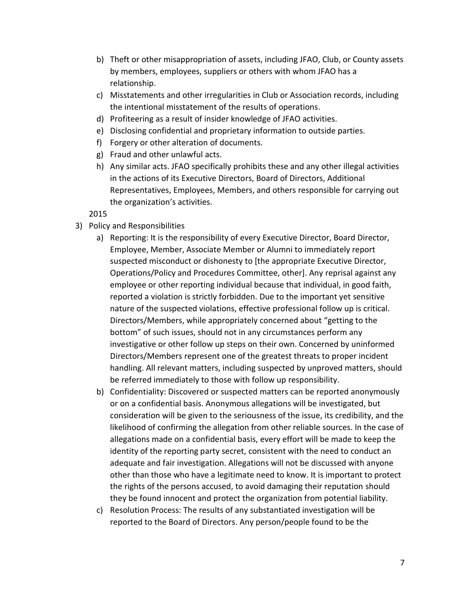- b) Theft or other misappropriation of assets, including JFAO, Club, or County assets by members, employees, suppliers or others with whom JFAO has a relationship.
- c) Misstatements and other irregularities in Club or Association records, including the intentional misstatement of the results of operations.
- d) Profiteering as a result of insider knowledge of JFAO activities.
- e) Disclosing confidential and proprietary information to outside parties.
- f) Forgery or other alteration of documents.
- g) Fraud and other unlawful acts.
- h) Any similar acts. JFAO specifically prohibits these and any other illegal activities in the actions of its Executive Directors, Board of Directors, Additional Representatives, Employees, Members, and others responsible for carrying out the organization's activities.

- 3) Policy and Responsibilities
	- a) Reporting: It is the responsibility of every Executive Director, Board Director, Employee, Member, Associate Member or Alumni to immediately report suspected misconduct or dishonesty to [the appropriate Executive Director, Operations/Policy and Procedures Committee, other]. Any reprisal against any employee or other reporting individual because that individual, in good faith, reported a violation is strictly forbidden. Due to the important yet sensitive nature of the suspected violations, effective professional follow up is critical. Directors/Members, while appropriately concerned about "getting to the bottom" of such issues, should not in any circumstances perform any investigative or other follow up steps on their own. Concerned by uninformed Directors/Members represent one of the greatest threats to proper incident handling. All relevant matters, including suspected by unproved matters, should be referred immediately to those with follow up responsibility.
	- b) Confidentiality: Discovered or suspected matters can be reported anonymously or on a confidential basis. Anonymous allegations will be investigated, but consideration will be given to the seriousness of the issue, its credibility, and the likelihood of confirming the allegation from other reliable sources. In the case of allegations made on a confidential basis, every effort will be made to keep the identity of the reporting party secret, consistent with the need to conduct an adequate and fair investigation. Allegations will not be discussed with anyone other than those who have a legitimate need to know. It is important to protect the rights of the persons accused, to avoid damaging their reputation should they be found innocent and protect the organization from potential liability.
	- c) Resolution Process: The results of any substantiated investigation will be reported to the Board of Directors. Any person/people found to be the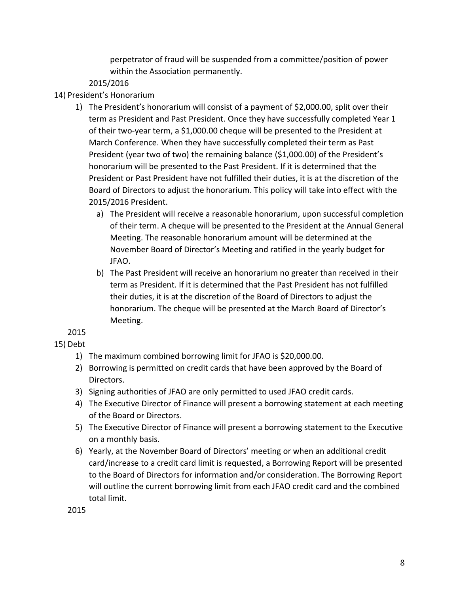perpetrator of fraud will be suspended from a committee/position of power within the Association permanently.

#### 2015/2016

#### 14) President's Honorarium

- 1) The President's honorarium will consist of a payment of \$2,000.00, split over their term as President and Past President. Once they have successfully completed Year 1 of their two-year term, a \$1,000.00 cheque will be presented to the President at March Conference. When they have successfully completed their term as Past President (year two of two) the remaining balance (\$1,000.00) of the President's honorarium will be presented to the Past President. If it is determined that the President or Past President have not fulfilled their duties, it is at the discretion of the Board of Directors to adjust the honorarium. This policy will take into effect with the 2015/2016 President.
	- a) The President will receive a reasonable honorarium, upon successful completion of their term. A cheque will be presented to the President at the Annual General Meeting. The reasonable honorarium amount will be determined at the November Board of Director's Meeting and ratified in the yearly budget for JFAO.
	- b) The Past President will receive an honorarium no greater than received in their term as President. If it is determined that the Past President has not fulfilled their duties, it is at the discretion of the Board of Directors to adjust the honorarium. The cheque will be presented at the March Board of Director's Meeting.

2015

#### 15) Debt

- 1) The maximum combined borrowing limit for JFAO is \$20,000.00.
- 2) Borrowing is permitted on credit cards that have been approved by the Board of Directors.
- 3) Signing authorities of JFAO are only permitted to used JFAO credit cards.
- 4) The Executive Director of Finance will present a borrowing statement at each meeting of the Board or Directors.
- 5) The Executive Director of Finance will present a borrowing statement to the Executive on a monthly basis.
- 6) Yearly, at the November Board of Directors' meeting or when an additional credit card/increase to a credit card limit is requested, a Borrowing Report will be presented to the Board of Directors for information and/or consideration. The Borrowing Report will outline the current borrowing limit from each JFAO credit card and the combined total limit.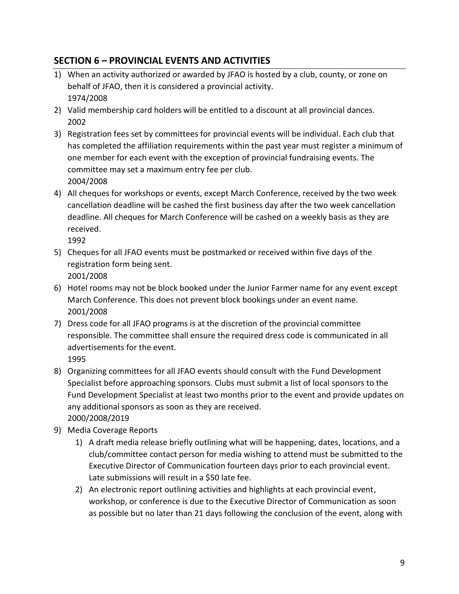# **SECTION 6 – PROVINCIAL EVENTS AND ACTIVITIES**

- 1) When an activity authorized or awarded by JFAO is hosted by a club, county, or zone on behalf of JFAO, then it is considered a provincial activity. 1974/2008
- 2) Valid membership card holders will be entitled to a discount at all provincial dances. 2002
- 3) Registration fees set by committees for provincial events will be individual. Each club that has completed the affiliation requirements within the past year must register a minimum of one member for each event with the exception of provincial fundraising events. The committee may set a maximum entry fee per club. 2004/2008
- 4) All cheques for workshops or events, except March Conference, received by the two week cancellation deadline will be cashed the first business day after the two week cancellation deadline. All cheques for March Conference will be cashed on a weekly basis as they are received.

1992

- 5) Cheques for all JFAO events must be postmarked or received within five days of the registration form being sent. 2001/2008
- 6) Hotel rooms may not be block booked under the Junior Farmer name for any event except March Conference. This does not prevent block bookings under an event name. 2001/2008
- 7) Dress code for all JFAO programs is at the discretion of the provincial committee responsible. The committee shall ensure the required dress code is communicated in all advertisements for the event.

- 8) Organizing committees for all JFAO events should consult with the Fund Development Specialist before approaching sponsors. Clubs must submit a list of local sponsors to the Fund Development Specialist at least two months prior to the event and provide updates on any additional sponsors as soon as they are received. 2000/2008/2019
- 9) Media Coverage Reports
	- 1) A draft media release briefly outlining what will be happening, dates, locations, and a club/committee contact person for media wishing to attend must be submitted to the Executive Director of Communication fourteen days prior to each provincial event. Late submissions will result in a \$50 late fee.
	- 2) An electronic report outlining activities and highlights at each provincial event, workshop, or conference is due to the Executive Director of Communication as soon as possible but no later than 21 days following the conclusion of the event, along with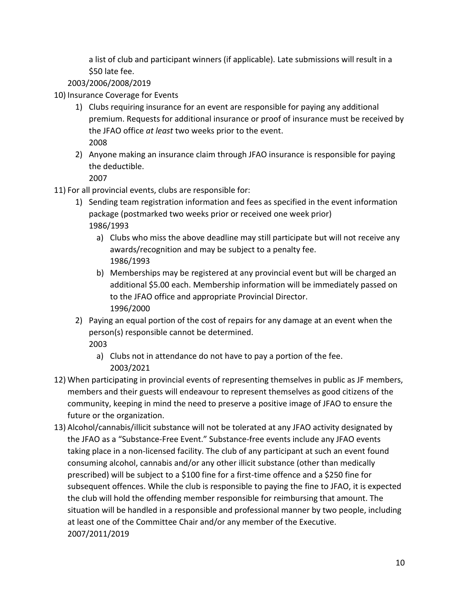a list of club and participant winners (if applicable). Late submissions will result in a \$50 late fee.

2003/2006/2008/2019

10) Insurance Coverage for Events

- 1) Clubs requiring insurance for an event are responsible for paying any additional premium. Requests for additional insurance or proof of insurance must be received by the JFAO office *at least* two weeks prior to the event. 2008
- 2) Anyone making an insurance claim through JFAO insurance is responsible for paying the deductible.

- 11) For all provincial events, clubs are responsible for:
	- 1) Sending team registration information and fees as specified in the event information package (postmarked two weeks prior or received one week prior) 1986/1993
		- a) Clubs who miss the above deadline may still participate but will not receive any awards/recognition and may be subject to a penalty fee. 1986/1993
		- b) Memberships may be registered at any provincial event but will be charged an additional \$5.00 each. Membership information will be immediately passed on to the JFAO office and appropriate Provincial Director. 1996/2000
	- 2) Paying an equal portion of the cost of repairs for any damage at an event when the person(s) responsible cannot be determined. 2003
		- a) Clubs not in attendance do not have to pay a portion of the fee. 2003/2021
- 12) When participating in provincial events of representing themselves in public as JF members, members and their guests will endeavour to represent themselves as good citizens of the community, keeping in mind the need to preserve a positive image of JFAO to ensure the future or the organization.
- 13) Alcohol/cannabis/illicit substance will not be tolerated at any JFAO activity designated by the JFAO as a "Substance-Free Event." Substance-free events include any JFAO events taking place in a non-licensed facility. The club of any participant at such an event found consuming alcohol, cannabis and/or any other illicit substance (other than medically prescribed) will be subject to a \$100 fine for a first-time offence and a \$250 fine for subsequent offences. While the club is responsible to paying the fine to JFAO, it is expected the club will hold the offending member responsible for reimbursing that amount. The situation will be handled in a responsible and professional manner by two people, including at least one of the Committee Chair and/or any member of the Executive. 2007/2011/2019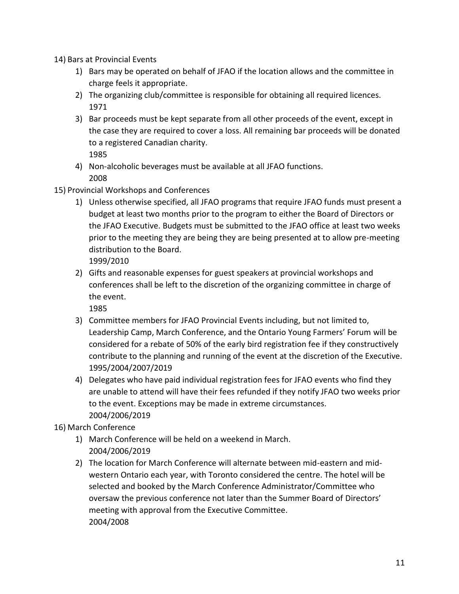- 14) Bars at Provincial Events
	- 1) Bars may be operated on behalf of JFAO if the location allows and the committee in charge feels it appropriate.
	- 2) The organizing club/committee is responsible for obtaining all required licences. 1971
	- 3) Bar proceeds must be kept separate from all other proceeds of the event, except in the case they are required to cover a loss. All remaining bar proceeds will be donated to a registered Canadian charity. 1985
	- 4) Non-alcoholic beverages must be available at all JFAO functions. 2008
- 15) Provincial Workshops and Conferences
	- 1) Unless otherwise specified, all JFAO programs that require JFAO funds must present a budget at least two months prior to the program to either the Board of Directors or the JFAO Executive. Budgets must be submitted to the JFAO office at least two weeks prior to the meeting they are being they are being presented at to allow pre-meeting distribution to the Board.

1999/2010

2) Gifts and reasonable expenses for guest speakers at provincial workshops and conferences shall be left to the discretion of the organizing committee in charge of the event.

1985

- 3) Committee members for JFAO Provincial Events including, but not limited to, Leadership Camp, March Conference, and the Ontario Young Farmers' Forum will be considered for a rebate of 50% of the early bird registration fee if they constructively contribute to the planning and running of the event at the discretion of the Executive. 1995/2004/2007/2019
- 4) Delegates who have paid individual registration fees for JFAO events who find they are unable to attend will have their fees refunded if they notify JFAO two weeks prior to the event. Exceptions may be made in extreme circumstances. 2004/2006/2019

16) March Conference

- 1) March Conference will be held on a weekend in March. 2004/2006/2019
- 2) The location for March Conference will alternate between mid-eastern and midwestern Ontario each year, with Toronto considered the centre. The hotel will be selected and booked by the March Conference Administrator/Committee who oversaw the previous conference not later than the Summer Board of Directors' meeting with approval from the Executive Committee. 2004/2008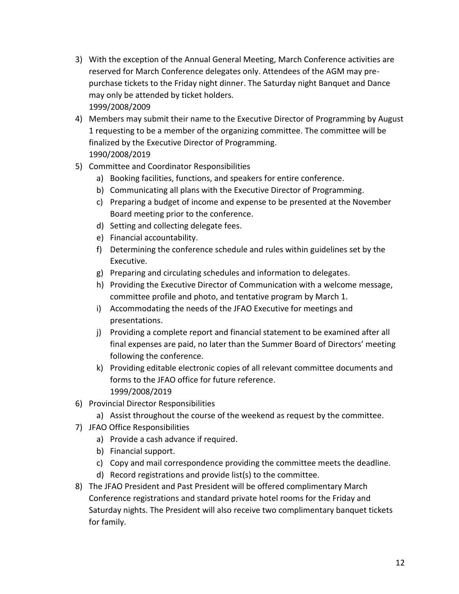- 3) With the exception of the Annual General Meeting, March Conference activities are reserved for March Conference delegates only. Attendees of the AGM may prepurchase tickets to the Friday night dinner. The Saturday night Banquet and Dance may only be attended by ticket holders. 1999/2008/2009
- 4) Members may submit their name to the Executive Director of Programming by August 1 requesting to be a member of the organizing committee. The committee will be finalized by the Executive Director of Programming. 1990/2008/2019
- 5) Committee and Coordinator Responsibilities
	- a) Booking facilities, functions, and speakers for entire conference.
	- b) Communicating all plans with the Executive Director of Programming.
	- c) Preparing a budget of income and expense to be presented at the November Board meeting prior to the conference.
	- d) Setting and collecting delegate fees.
	- e) Financial accountability.
	- f) Determining the conference schedule and rules within guidelines set by the Executive.
	- g) Preparing and circulating schedules and information to delegates.
	- h) Providing the Executive Director of Communication with a welcome message, committee profile and photo, and tentative program by March 1.
	- i) Accommodating the needs of the JFAO Executive for meetings and presentations.
	- j) Providing a complete report and financial statement to be examined after all final expenses are paid, no later than the Summer Board of Directors' meeting following the conference.
	- k) Providing editable electronic copies of all relevant committee documents and forms to the JFAO office for future reference. 1999/2008/2019
- 6) Provincial Director Responsibilities
	- a) Assist throughout the course of the weekend as request by the committee.
- 7) JFAO Office Responsibilities
	- a) Provide a cash advance if required.
	- b) Financial support.
	- c) Copy and mail correspondence providing the committee meets the deadline.
	- d) Record registrations and provide list(s) to the committee.
- 8) The JFAO President and Past President will be offered complimentary March Conference registrations and standard private hotel rooms for the Friday and Saturday nights. The President will also receive two complimentary banquet tickets for family.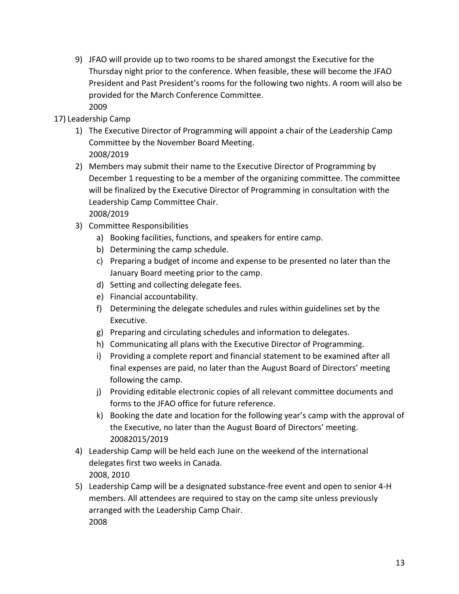- 9) JFAO will provide up to two rooms to be shared amongst the Executive for the Thursday night prior to the conference. When feasible, these will become the JFAO President and Past President's rooms for the following two nights. A room will also be provided for the March Conference Committee. 2009
- 17) Leadership Camp
	- 1) The Executive Director of Programming will appoint a chair of the Leadership Camp Committee by the November Board Meeting. 2008/2019
	- 2) Members may submit their name to the Executive Director of Programming by December 1 requesting to be a member of the organizing committee. The committee will be finalized by the Executive Director of Programming in consultation with the Leadership Camp Committee Chair. 2008/2019
	- 3) Committee Responsibilities
		- a) Booking facilities, functions, and speakers for entire camp.
		- b) Determining the camp schedule.
		- c) Preparing a budget of income and expense to be presented no later than the January Board meeting prior to the camp.
		- d) Setting and collecting delegate fees.
		- e) Financial accountability.
		- f) Determining the delegate schedules and rules within guidelines set by the Executive.
		- g) Preparing and circulating schedules and information to delegates.
		- h) Communicating all plans with the Executive Director of Programming.
		- i) Providing a complete report and financial statement to be examined after all final expenses are paid, no later than the August Board of Directors' meeting following the camp.
		- j) Providing editable electronic copies of all relevant committee documents and forms to the JFAO office for future reference.
		- k) Booking the date and location for the following year's camp with the approval of the Executive, no later than the August Board of Directors' meeting. 20082015/2019
	- 4) Leadership Camp will be held each June on the weekend of the international delegates first two weeks in Canada. 2008, 2010
	- 5) Leadership Camp will be a designated substance-free event and open to senior 4-H members. All attendees are required to stay on the camp site unless previously arranged with the Leadership Camp Chair. 2008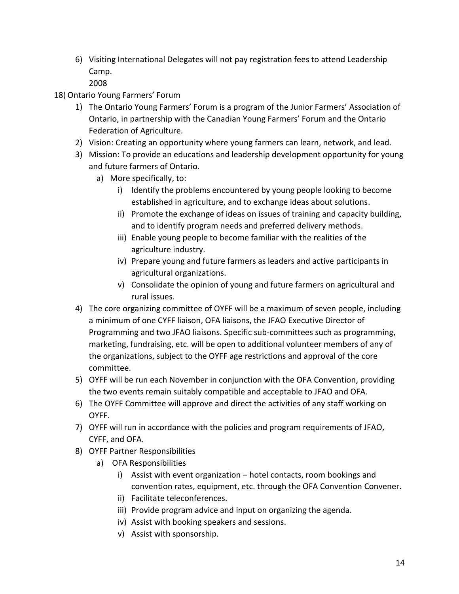6) Visiting International Delegates will not pay registration fees to attend Leadership Camp.

- 18) Ontario Young Farmers' Forum
	- 1) The Ontario Young Farmers' Forum is a program of the Junior Farmers' Association of Ontario, in partnership with the Canadian Young Farmers' Forum and the Ontario Federation of Agriculture.
	- 2) Vision: Creating an opportunity where young farmers can learn, network, and lead.
	- 3) Mission: To provide an educations and leadership development opportunity for young and future farmers of Ontario.
		- a) More specifically, to:
			- i) Identify the problems encountered by young people looking to become established in agriculture, and to exchange ideas about solutions.
			- ii) Promote the exchange of ideas on issues of training and capacity building, and to identify program needs and preferred delivery methods.
			- iii) Enable young people to become familiar with the realities of the agriculture industry.
			- iv) Prepare young and future farmers as leaders and active participants in agricultural organizations.
			- v) Consolidate the opinion of young and future farmers on agricultural and rural issues.
	- 4) The core organizing committee of OYFF will be a maximum of seven people, including a minimum of one CYFF liaison, OFA liaisons, the JFAO Executive Director of Programming and two JFAO liaisons. Specific sub-committees such as programming, marketing, fundraising, etc. will be open to additional volunteer members of any of the organizations, subject to the OYFF age restrictions and approval of the core committee.
	- 5) OYFF will be run each November in conjunction with the OFA Convention, providing the two events remain suitably compatible and acceptable to JFAO and OFA.
	- 6) The OYFF Committee will approve and direct the activities of any staff working on OYFF.
	- 7) OYFF will run in accordance with the policies and program requirements of JFAO, CYFF, and OFA.
	- 8) OYFF Partner Responsibilities
		- a) OFA Responsibilities
			- i) Assist with event organization hotel contacts, room bookings and convention rates, equipment, etc. through the OFA Convention Convener.
			- ii) Facilitate teleconferences.
			- iii) Provide program advice and input on organizing the agenda.
			- iv) Assist with booking speakers and sessions.
			- v) Assist with sponsorship.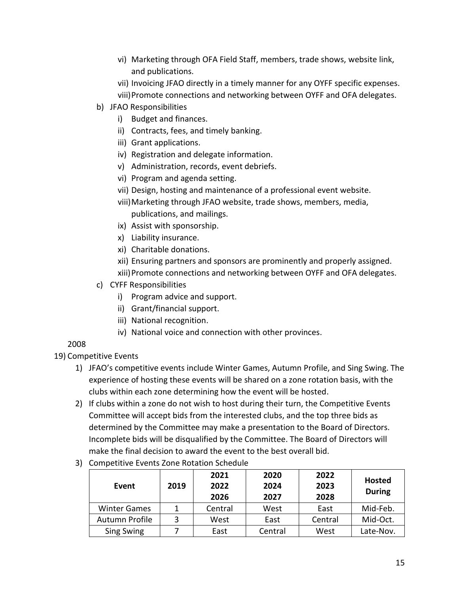- vi) Marketing through OFA Field Staff, members, trade shows, website link, and publications.
- vii) Invoicing JFAO directly in a timely manner for any OYFF specific expenses.
- viii)Promote connections and networking between OYFF and OFA delegates.
- b) JFAO Responsibilities
	- i) Budget and finances.
	- ii) Contracts, fees, and timely banking.
	- iii) Grant applications.
	- iv) Registration and delegate information.
	- v) Administration, records, event debriefs.
	- vi) Program and agenda setting.
	- vii) Design, hosting and maintenance of a professional event website.
	- viii)Marketing through JFAO website, trade shows, members, media, publications, and mailings.
	- ix) Assist with sponsorship.
	- x) Liability insurance.
	- xi) Charitable donations.
	- xii) Ensuring partners and sponsors are prominently and properly assigned.
	- xiii)Promote connections and networking between OYFF and OFA delegates.
- c) CYFF Responsibilities
	- i) Program advice and support.
	- ii) Grant/financial support.
	- iii) National recognition.
	- iv) National voice and connection with other provinces.

## 19) Competitive Events

- 1) JFAO's competitive events include Winter Games, Autumn Profile, and Sing Swing. The experience of hosting these events will be shared on a zone rotation basis, with the clubs within each zone determining how the event will be hosted.
- 2) If clubs within a zone do not wish to host during their turn, the Competitive Events Committee will accept bids from the interested clubs, and the top three bids as determined by the Committee may make a presentation to the Board of Directors. Incomplete bids will be disqualified by the Committee. The Board of Directors will make the final decision to award the event to the best overall bid.
- 3) Competitive Events Zone Rotation Schedule

| Event               | 2019 | 2021<br>2022<br>2026 | 2020<br>2024<br>2027 | 2022<br>2023<br>2028 | <b>Hosted</b><br><b>During</b> |
|---------------------|------|----------------------|----------------------|----------------------|--------------------------------|
| <b>Winter Games</b> |      | Central              | West                 | East                 | Mid-Feb.                       |
| Autumn Profile      |      | West                 | East                 | Central              | Mid-Oct.                       |
| Sing Swing          |      | East                 | Central              | West                 | Late-Nov.                      |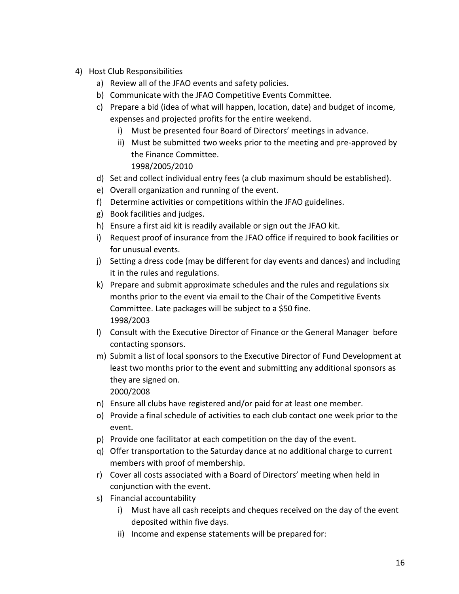- 4) Host Club Responsibilities
	- a) Review all of the JFAO events and safety policies.
	- b) Communicate with the JFAO Competitive Events Committee.
	- c) Prepare a bid (idea of what will happen, location, date) and budget of income, expenses and projected profits for the entire weekend.
		- i) Must be presented four Board of Directors' meetings in advance.
		- ii) Must be submitted two weeks prior to the meeting and pre-approved by the Finance Committee. 1998/2005/2010
	- d) Set and collect individual entry fees (a club maximum should be established).
	- e) Overall organization and running of the event.
	- f) Determine activities or competitions within the JFAO guidelines.
	- g) Book facilities and judges.
	- h) Ensure a first aid kit is readily available or sign out the JFAO kit.
	- i) Request proof of insurance from the JFAO office if required to book facilities or for unusual events.
	- j) Setting a dress code (may be different for day events and dances) and including it in the rules and regulations.
	- k) Prepare and submit approximate schedules and the rules and regulations six months prior to the event via email to the Chair of the Competitive Events Committee. Late packages will be subject to a \$50 fine. 1998/2003
	- l) Consult with the Executive Director of Finance or the General Manager before contacting sponsors.
	- m) Submit a list of local sponsors to the Executive Director of Fund Development at least two months prior to the event and submitting any additional sponsors as they are signed on.

- n) Ensure all clubs have registered and/or paid for at least one member.
- o) Provide a final schedule of activities to each club contact one week prior to the event.
- p) Provide one facilitator at each competition on the day of the event.
- q) Offer transportation to the Saturday dance at no additional charge to current members with proof of membership.
- r) Cover all costs associated with a Board of Directors' meeting when held in conjunction with the event.
- s) Financial accountability
	- i) Must have all cash receipts and cheques received on the day of the event deposited within five days.
	- ii) Income and expense statements will be prepared for: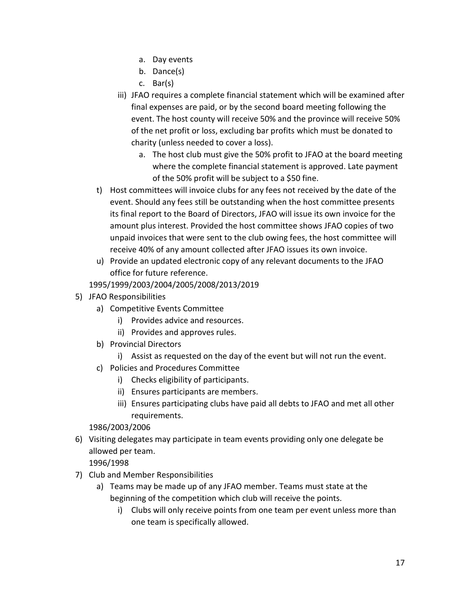- a. Day events
- b. Dance(s)
- c. Bar(s)
- iii) JFAO requires a complete financial statement which will be examined after final expenses are paid, or by the second board meeting following the event. The host county will receive 50% and the province will receive 50% of the net profit or loss, excluding bar profits which must be donated to charity (unless needed to cover a loss).
	- a. The host club must give the 50% profit to JFAO at the board meeting where the complete financial statement is approved. Late payment of the 50% profit will be subject to a \$50 fine.
- t) Host committees will invoice clubs for any fees not received by the date of the event. Should any fees still be outstanding when the host committee presents its final report to the Board of Directors, JFAO will issue its own invoice for the amount plus interest. Provided the host committee shows JFAO copies of two unpaid invoices that were sent to the club owing fees, the host committee will receive 40% of any amount collected after JFAO issues its own invoice.
- u) Provide an updated electronic copy of any relevant documents to the JFAO office for future reference.
- 1995/1999/2003/2004/2005/2008/2013/2019
- 5) JFAO Responsibilities
	- a) Competitive Events Committee
		- i) Provides advice and resources.
		- ii) Provides and approves rules.
	- b) Provincial Directors
		- i) Assist as requested on the day of the event but will not run the event.
	- c) Policies and Procedures Committee
		- i) Checks eligibility of participants.
		- ii) Ensures participants are members.
		- iii) Ensures participating clubs have paid all debts to JFAO and met all other requirements.

#### 1986/2003/2006

6) Visiting delegates may participate in team events providing only one delegate be allowed per team.

- 7) Club and Member Responsibilities
	- a) Teams may be made up of any JFAO member. Teams must state at the beginning of the competition which club will receive the points.
		- i) Clubs will only receive points from one team per event unless more than one team is specifically allowed.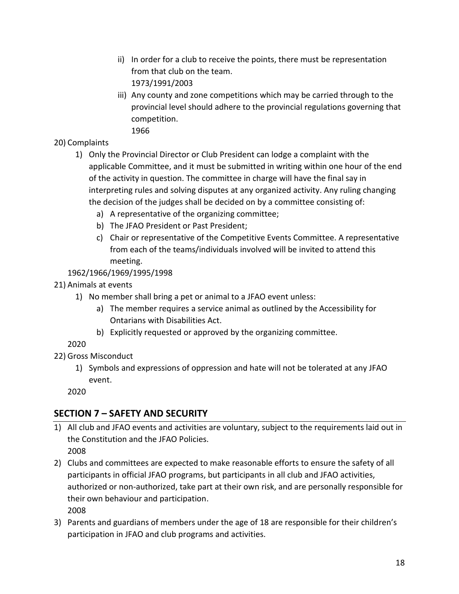- ii) In order for a club to receive the points, there must be representation from that club on the team. 1973/1991/2003
- iii) Any county and zone competitions which may be carried through to the provincial level should adhere to the provincial regulations governing that competition.
	- 1966

## 20) Complaints

- 1) Only the Provincial Director or Club President can lodge a complaint with the applicable Committee, and it must be submitted in writing within one hour of the end of the activity in question. The committee in charge will have the final say in interpreting rules and solving disputes at any organized activity. Any ruling changing the decision of the judges shall be decided on by a committee consisting of:
	- a) A representative of the organizing committee;
	- b) The JFAO President or Past President;
	- c) Chair or representative of the Competitive Events Committee. A representative from each of the teams/individuals involved will be invited to attend this meeting.

## 1962/1966/1969/1995/1998

- 21) Animals at events
	- 1) No member shall bring a pet or animal to a JFAO event unless:
		- a) The member requires a service animal as outlined by the Accessibility for Ontarians with Disabilities Act.
		- b) Explicitly requested or approved by the organizing committee.

2020

- 22) Gross Misconduct
	- 1) Symbols and expressions of oppression and hate will not be tolerated at any JFAO event.

2020

## **SECTION 7 – SAFETY AND SECURITY**

- 1) All club and JFAO events and activities are voluntary, subject to the requirements laid out in the Constitution and the JFAO Policies. 2008
- 2) Clubs and committees are expected to make reasonable efforts to ensure the safety of all participants in official JFAO programs, but participants in all club and JFAO activities, authorized or non-authorized, take part at their own risk, and are personally responsible for their own behaviour and participation. 2008
- 3) Parents and guardians of members under the age of 18 are responsible for their children's participation in JFAO and club programs and activities.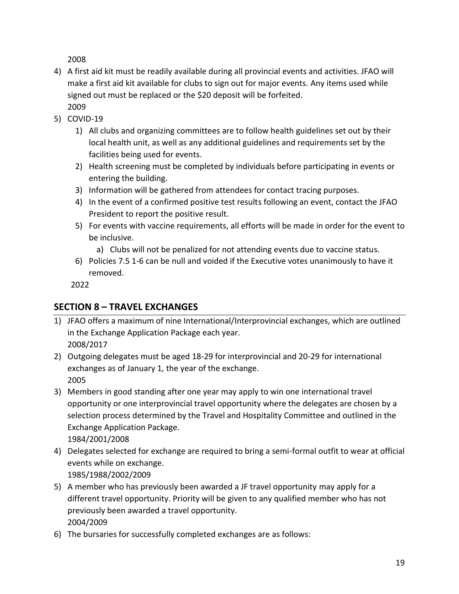- 4) A first aid kit must be readily available during all provincial events and activities. JFAO will make a first aid kit available for clubs to sign out for major events. Any items used while signed out must be replaced or the \$20 deposit will be forfeited. 2009
- 5) COVID-19
	- 1) All clubs and organizing committees are to follow health guidelines set out by their local health unit, as well as any additional guidelines and requirements set by the facilities being used for events.
	- 2) Health screening must be completed by individuals before participating in events or entering the building.
	- 3) Information will be gathered from attendees for contact tracing purposes.
	- 4) In the event of a confirmed positive test results following an event, contact the JFAO President to report the positive result.
	- 5) For events with vaccine requirements, all efforts will be made in order for the event to be inclusive.
		- a) Clubs will not be penalized for not attending events due to vaccine status.
	- 6) Policies 7.5 1-6 can be null and voided if the Executive votes unanimously to have it removed.

2022

## **SECTION 8 – TRAVEL EXCHANGES**

- 1) JFAO offers a maximum of nine International/Interprovincial exchanges, which are outlined in the Exchange Application Package each year. 2008/2017
- 2) Outgoing delegates must be aged 18-29 for interprovincial and 20-29 for international exchanges as of January 1, the year of the exchange. 2005
- 3) Members in good standing after one year may apply to win one international travel opportunity or one interprovincial travel opportunity where the delegates are chosen by a selection process determined by the Travel and Hospitality Committee and outlined in the Exchange Application Package. 1984/2001/2008
- 4) Delegates selected for exchange are required to bring a semi-formal outfit to wear at official events while on exchange. 1985/1988/2002/2009
- 5) A member who has previously been awarded a JF travel opportunity may apply for a different travel opportunity. Priority will be given to any qualified member who has not previously been awarded a travel opportunity. 2004/2009
- 6) The bursaries for successfully completed exchanges are as follows: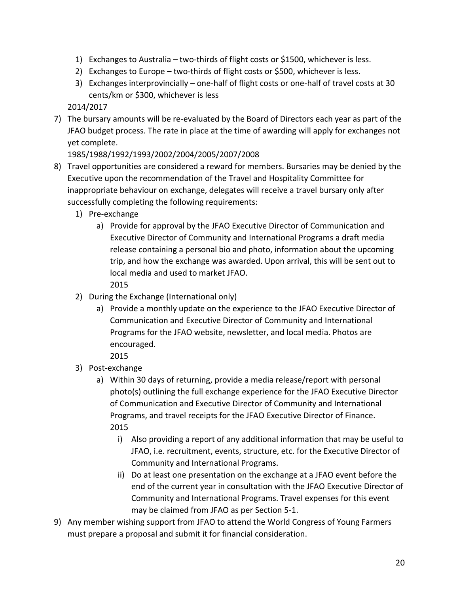- 1) Exchanges to Australia two-thirds of flight costs or \$1500, whichever is less.
- 2) Exchanges to Europe two-thirds of flight costs or \$500, whichever is less.
- 3) Exchanges interprovincially one-half of flight costs or one-half of travel costs at 30 cents/km or \$300, whichever is less

2014/2017

7) The bursary amounts will be re-evaluated by the Board of Directors each year as part of the JFAO budget process. The rate in place at the time of awarding will apply for exchanges not yet complete.

#### 1985/1988/1992/1993/2002/2004/2005/2007/2008

- 8) Travel opportunities are considered a reward for members. Bursaries may be denied by the Executive upon the recommendation of the Travel and Hospitality Committee for inappropriate behaviour on exchange, delegates will receive a travel bursary only after successfully completing the following requirements:
	- 1) Pre-exchange
		- a) Provide for approval by the JFAO Executive Director of Communication and Executive Director of Community and International Programs a draft media release containing a personal bio and photo, information about the upcoming trip, and how the exchange was awarded. Upon arrival, this will be sent out to local media and used to market JFAO.
			- 2015
	- 2) During the Exchange (International only)
		- a) Provide a monthly update on the experience to the JFAO Executive Director of Communication and Executive Director of Community and International Programs for the JFAO website, newsletter, and local media. Photos are encouraged.
			- 2015
	- 3) Post-exchange
		- a) Within 30 days of returning, provide a media release/report with personal photo(s) outlining the full exchange experience for the JFAO Executive Director of Communication and Executive Director of Community and International Programs, and travel receipts for the JFAO Executive Director of Finance. 2015
			- i) Also providing a report of any additional information that may be useful to JFAO, i.e. recruitment, events, structure, etc. for the Executive Director of Community and International Programs.
			- ii) Do at least one presentation on the exchange at a JFAO event before the end of the current year in consultation with the JFAO Executive Director of Community and International Programs. Travel expenses for this event may be claimed from JFAO as per Section 5-1.
- 9) Any member wishing support from JFAO to attend the World Congress of Young Farmers must prepare a proposal and submit it for financial consideration.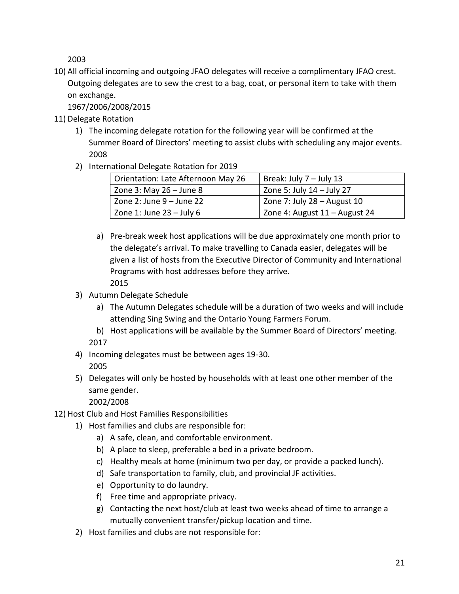10) All official incoming and outgoing JFAO delegates will receive a complimentary JFAO crest. Outgoing delegates are to sew the crest to a bag, coat, or personal item to take with them on exchange.

1967/2006/2008/2015

- 11) Delegate Rotation
	- 1) The incoming delegate rotation for the following year will be confirmed at the Summer Board of Directors' meeting to assist clubs with scheduling any major events. 2008
	- 2) International Delegate Rotation for 2019

| Orientation: Late Afternoon May 26 | Break: July 7 - July 13       |  |
|------------------------------------|-------------------------------|--|
| Zone 3: May $26 -$ June 8          | Zone 5: July $14$ – July 27   |  |
| Zone $2:$ June $9 -$ June 22       | Zone 7: July $28 -$ August 10 |  |
| Zone 1: June $23 -$ July 6         | Zone 4: August 11 - August 24 |  |

- a) Pre-break week host applications will be due approximately one month prior to the delegate's arrival. To make travelling to Canada easier, delegates will be given a list of hosts from the Executive Director of Community and International Programs with host addresses before they arrive. 2015
- 3) Autumn Delegate Schedule
	- a) The Autumn Delegates schedule will be a duration of two weeks and will include attending Sing Swing and the Ontario Young Farmers Forum.
	- b) Host applications will be available by the Summer Board of Directors' meeting. 2017
- 4) Incoming delegates must be between ages 19-30. 2005
- 5) Delegates will only be hosted by households with at least one other member of the same gender.

- 12) Host Club and Host Families Responsibilities
	- 1) Host families and clubs are responsible for:
		- a) A safe, clean, and comfortable environment.
		- b) A place to sleep, preferable a bed in a private bedroom.
		- c) Healthy meals at home (minimum two per day, or provide a packed lunch).
		- d) Safe transportation to family, club, and provincial JF activities.
		- e) Opportunity to do laundry.
		- f) Free time and appropriate privacy.
		- g) Contacting the next host/club at least two weeks ahead of time to arrange a mutually convenient transfer/pickup location and time.
	- 2) Host families and clubs are not responsible for: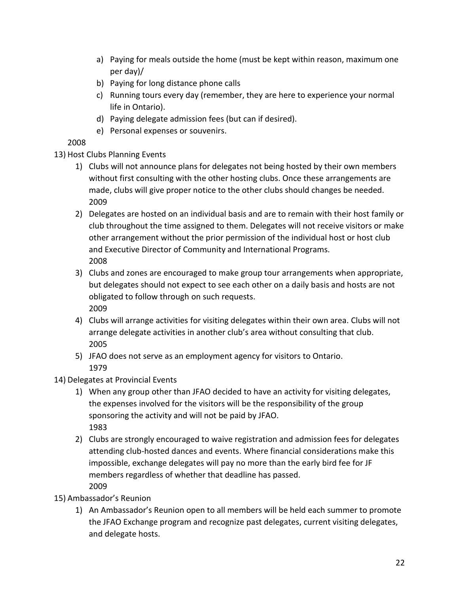- a) Paying for meals outside the home (must be kept within reason, maximum one per day)/
- b) Paying for long distance phone calls
- c) Running tours every day (remember, they are here to experience your normal life in Ontario).
- d) Paying delegate admission fees (but can if desired).
- e) Personal expenses or souvenirs.

## 13) Host Clubs Planning Events

- 1) Clubs will not announce plans for delegates not being hosted by their own members without first consulting with the other hosting clubs. Once these arrangements are made, clubs will give proper notice to the other clubs should changes be needed. 2009
- 2) Delegates are hosted on an individual basis and are to remain with their host family or club throughout the time assigned to them. Delegates will not receive visitors or make other arrangement without the prior permission of the individual host or host club and Executive Director of Community and International Programs. 2008
- 3) Clubs and zones are encouraged to make group tour arrangements when appropriate, but delegates should not expect to see each other on a daily basis and hosts are not obligated to follow through on such requests. 2009
- 4) Clubs will arrange activities for visiting delegates within their own area. Clubs will not arrange delegate activities in another club's area without consulting that club. 2005
- 5) JFAO does not serve as an employment agency for visitors to Ontario. 1979
- 14) Delegates at Provincial Events
	- 1) When any group other than JFAO decided to have an activity for visiting delegates, the expenses involved for the visitors will be the responsibility of the group sponsoring the activity and will not be paid by JFAO. 1983
	- 2) Clubs are strongly encouraged to waive registration and admission fees for delegates attending club-hosted dances and events. Where financial considerations make this impossible, exchange delegates will pay no more than the early bird fee for JF members regardless of whether that deadline has passed. 2009
- 15) Ambassador's Reunion
	- 1) An Ambassador's Reunion open to all members will be held each summer to promote the JFAO Exchange program and recognize past delegates, current visiting delegates, and delegate hosts.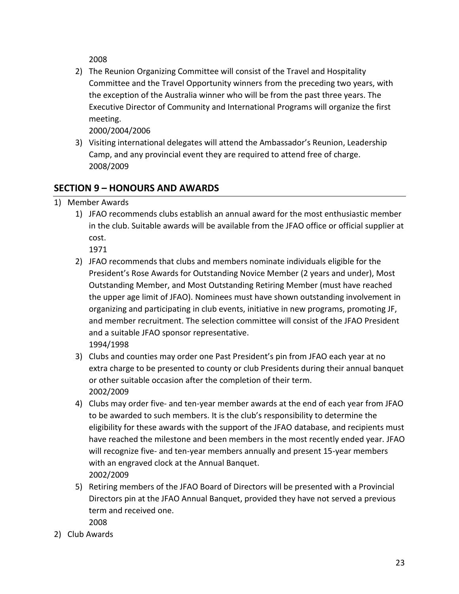2) The Reunion Organizing Committee will consist of the Travel and Hospitality Committee and the Travel Opportunity winners from the preceding two years, with the exception of the Australia winner who will be from the past three years. The Executive Director of Community and International Programs will organize the first meeting.

2000/2004/2006

3) Visiting international delegates will attend the Ambassador's Reunion, Leadership Camp, and any provincial event they are required to attend free of charge. 2008/2009

# **SECTION 9 – HONOURS AND AWARDS**

- 1) Member Awards
	- 1) JFAO recommends clubs establish an annual award for the most enthusiastic member in the club. Suitable awards will be available from the JFAO office or official supplier at cost.

- 2) JFAO recommends that clubs and members nominate individuals eligible for the President's Rose Awards for Outstanding Novice Member (2 years and under), Most Outstanding Member, and Most Outstanding Retiring Member (must have reached the upper age limit of JFAO). Nominees must have shown outstanding involvement in organizing and participating in club events, initiative in new programs, promoting JF, and member recruitment. The selection committee will consist of the JFAO President and a suitable JFAO sponsor representative. 1994/1998
- 3) Clubs and counties may order one Past President's pin from JFAO each year at no extra charge to be presented to county or club Presidents during their annual banquet or other suitable occasion after the completion of their term. 2002/2009
- 4) Clubs may order five- and ten-year member awards at the end of each year from JFAO to be awarded to such members. It is the club's responsibility to determine the eligibility for these awards with the support of the JFAO database, and recipients must have reached the milestone and been members in the most recently ended year. JFAO will recognize five- and ten-year members annually and present 15-year members with an engraved clock at the Annual Banquet. 2002/2009
- 5) Retiring members of the JFAO Board of Directors will be presented with a Provincial Directors pin at the JFAO Annual Banquet, provided they have not served a previous term and received one. 2008
- 2) Club Awards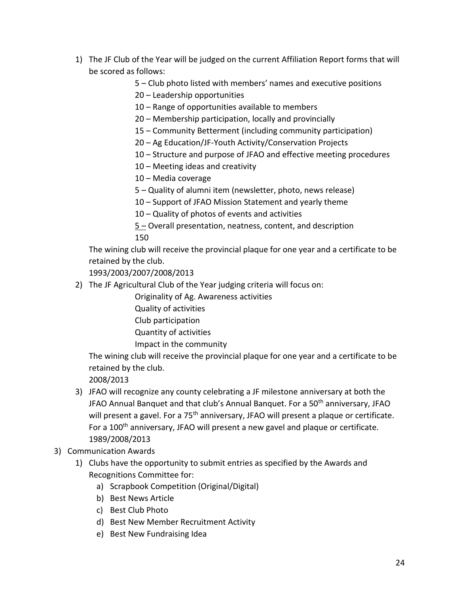- 1) The JF Club of the Year will be judged on the current Affiliation Report forms that will be scored as follows:
	- 5 Club photo listed with members' names and executive positions

20 – Leadership opportunities

- 10 Range of opportunities available to members
- 20 Membership participation, locally and provincially
- 15 Community Betterment (including community participation)
- 20 Ag Education/JF-Youth Activity/Conservation Projects
- 10 Structure and purpose of JFAO and effective meeting procedures
- 10 Meeting ideas and creativity
- 10 Media coverage
- 5 Quality of alumni item (newsletter, photo, news release)
- 10 Support of JFAO Mission Statement and yearly theme

10 – Quality of photos of events and activities

5 – Overall presentation, neatness, content, and description 150

The wining club will receive the provincial plaque for one year and a certificate to be retained by the club.

1993/2003/2007/2008/2013

2) The JF Agricultural Club of the Year judging criteria will focus on:

Originality of Ag. Awareness activities

- Quality of activities
- Club participation
- Quantity of activities
- Impact in the community

The wining club will receive the provincial plaque for one year and a certificate to be retained by the club.

- 3) JFAO will recognize any county celebrating a JF milestone anniversary at both the JFAO Annual Banquet and that club's Annual Banquet. For a 50<sup>th</sup> anniversary, JFAO will present a gavel. For a 75<sup>th</sup> anniversary, JFAO will present a plaque or certificate. For a 100<sup>th</sup> anniversary, JFAO will present a new gavel and plaque or certificate. 1989/2008/2013
- 3) Communication Awards
	- 1) Clubs have the opportunity to submit entries as specified by the Awards and Recognitions Committee for:
		- a) Scrapbook Competition (Original/Digital)
		- b) Best News Article
		- c) Best Club Photo
		- d) Best New Member Recruitment Activity
		- e) Best New Fundraising Idea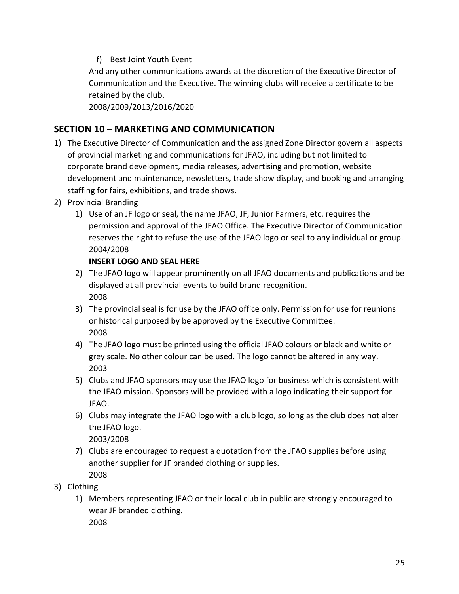f) Best Joint Youth Event

And any other communications awards at the discretion of the Executive Director of Communication and the Executive. The winning clubs will receive a certificate to be retained by the club.

2008/2009/2013/2016/2020

## **SECTION 10 – MARKETING AND COMMUNICATION**

- 1) The Executive Director of Communication and the assigned Zone Director govern all aspects of provincial marketing and communications for JFAO, including but not limited to corporate brand development, media releases, advertising and promotion, website development and maintenance, newsletters, trade show display, and booking and arranging staffing for fairs, exhibitions, and trade shows.
- 2) Provincial Branding
	- 1) Use of an JF logo or seal, the name JFAO, JF, Junior Farmers, etc. requires the permission and approval of the JFAO Office. The Executive Director of Communication reserves the right to refuse the use of the JFAO logo or seal to any individual or group. 2004/2008

#### **INSERT LOGO AND SEAL HERE**

- 2) The JFAO logo will appear prominently on all JFAO documents and publications and be displayed at all provincial events to build brand recognition. 2008
- 3) The provincial seal is for use by the JFAO office only. Permission for use for reunions or historical purposed by be approved by the Executive Committee. 2008
- 4) The JFAO logo must be printed using the official JFAO colours or black and white or grey scale. No other colour can be used. The logo cannot be altered in any way. 2003
- 5) Clubs and JFAO sponsors may use the JFAO logo for business which is consistent with the JFAO mission. Sponsors will be provided with a logo indicating their support for JFAO.
- 6) Clubs may integrate the JFAO logo with a club logo, so long as the club does not alter the JFAO logo. 2003/2008
- 7) Clubs are encouraged to request a quotation from the JFAO supplies before using another supplier for JF branded clothing or supplies. 2008
- 3) Clothing
	- 1) Members representing JFAO or their local club in public are strongly encouraged to wear JF branded clothing. 2008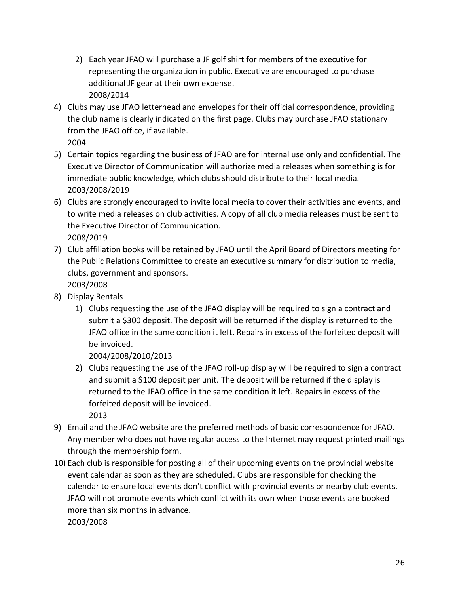- 2) Each year JFAO will purchase a JF golf shirt for members of the executive for representing the organization in public. Executive are encouraged to purchase additional JF gear at their own expense. 2008/2014
- 4) Clubs may use JFAO letterhead and envelopes for their official correspondence, providing the club name is clearly indicated on the first page. Clubs may purchase JFAO stationary from the JFAO office, if available. 2004
- 5) Certain topics regarding the business of JFAO are for internal use only and confidential. The Executive Director of Communication will authorize media releases when something is for immediate public knowledge, which clubs should distribute to their local media. 2003/2008/2019
- 6) Clubs are strongly encouraged to invite local media to cover their activities and events, and to write media releases on club activities. A copy of all club media releases must be sent to the Executive Director of Communication. 2008/2019
- 7) Club affiliation books will be retained by JFAO until the April Board of Directors meeting for the Public Relations Committee to create an executive summary for distribution to media, clubs, government and sponsors. 2003/2008
- 8) Display Rentals
	- 1) Clubs requesting the use of the JFAO display will be required to sign a contract and submit a \$300 deposit. The deposit will be returned if the display is returned to the JFAO office in the same condition it left. Repairs in excess of the forfeited deposit will be invoiced.

2004/2008/2010/2013

- 2) Clubs requesting the use of the JFAO roll-up display will be required to sign a contract and submit a \$100 deposit per unit. The deposit will be returned if the display is returned to the JFAO office in the same condition it left. Repairs in excess of the forfeited deposit will be invoiced. 2013
- 9) Email and the JFAO website are the preferred methods of basic correspondence for JFAO. Any member who does not have regular access to the Internet may request printed mailings through the membership form.
- 10) Each club is responsible for posting all of their upcoming events on the provincial website event calendar as soon as they are scheduled. Clubs are responsible for checking the calendar to ensure local events don't conflict with provincial events or nearby club events. JFAO will not promote events which conflict with its own when those events are booked more than six months in advance. 2003/2008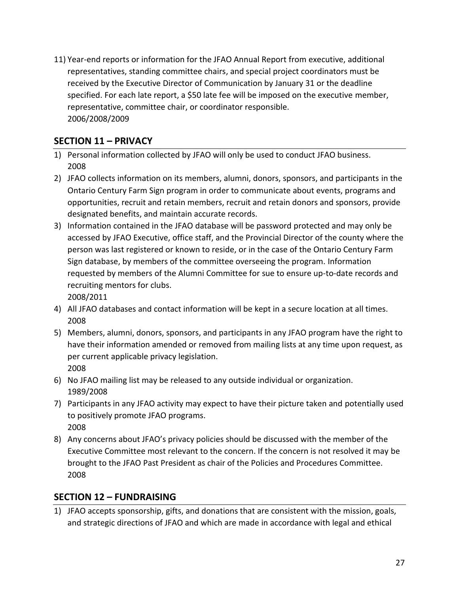11) Year-end reports or information for the JFAO Annual Report from executive, additional representatives, standing committee chairs, and special project coordinators must be received by the Executive Director of Communication by January 31 or the deadline specified. For each late report, a \$50 late fee will be imposed on the executive member, representative, committee chair, or coordinator responsible. 2006/2008/2009

# **SECTION 11 – PRIVACY**

- 1) Personal information collected by JFAO will only be used to conduct JFAO business. 2008
- 2) JFAO collects information on its members, alumni, donors, sponsors, and participants in the Ontario Century Farm Sign program in order to communicate about events, programs and opportunities, recruit and retain members, recruit and retain donors and sponsors, provide designated benefits, and maintain accurate records.
- 3) Information contained in the JFAO database will be password protected and may only be accessed by JFAO Executive, office staff, and the Provincial Director of the county where the person was last registered or known to reside, or in the case of the Ontario Century Farm Sign database, by members of the committee overseeing the program. Information requested by members of the Alumni Committee for sue to ensure up-to-date records and recruiting mentors for clubs. 2008/2011
- 4) All JFAO databases and contact information will be kept in a secure location at all times. 2008
- 5) Members, alumni, donors, sponsors, and participants in any JFAO program have the right to have their information amended or removed from mailing lists at any time upon request, as per current applicable privacy legislation. 2008
- 6) No JFAO mailing list may be released to any outside individual or organization. 1989/2008
- 7) Participants in any JFAO activity may expect to have their picture taken and potentially used to positively promote JFAO programs. 2008
- 8) Any concerns about JFAO's privacy policies should be discussed with the member of the Executive Committee most relevant to the concern. If the concern is not resolved it may be brought to the JFAO Past President as chair of the Policies and Procedures Committee. 2008

## **SECTION 12 – FUNDRAISING**

1) JFAO accepts sponsorship, gifts, and donations that are consistent with the mission, goals, and strategic directions of JFAO and which are made in accordance with legal and ethical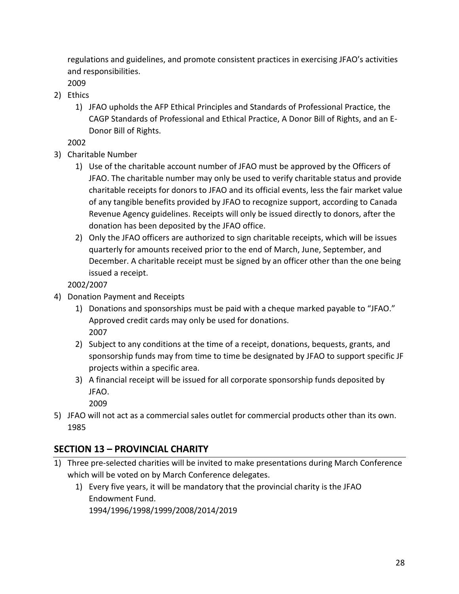regulations and guidelines, and promote consistent practices in exercising JFAO's activities and responsibilities.

2009

- 2) Ethics
	- 1) JFAO upholds the AFP Ethical Principles and Standards of Professional Practice, the CAGP Standards of Professional and Ethical Practice, A Donor Bill of Rights, and an E-Donor Bill of Rights.

2002

- 3) Charitable Number
	- 1) Use of the charitable account number of JFAO must be approved by the Officers of JFAO. The charitable number may only be used to verify charitable status and provide charitable receipts for donors to JFAO and its official events, less the fair market value of any tangible benefits provided by JFAO to recognize support, according to Canada Revenue Agency guidelines. Receipts will only be issued directly to donors, after the donation has been deposited by the JFAO office.
	- 2) Only the JFAO officers are authorized to sign charitable receipts, which will be issues quarterly for amounts received prior to the end of March, June, September, and December. A charitable receipt must be signed by an officer other than the one being issued a receipt.

2002/2007

- 4) Donation Payment and Receipts
	- 1) Donations and sponsorships must be paid with a cheque marked payable to "JFAO." Approved credit cards may only be used for donations. 2007
	- 2) Subject to any conditions at the time of a receipt, donations, bequests, grants, and sponsorship funds may from time to time be designated by JFAO to support specific JF projects within a specific area.
	- 3) A financial receipt will be issued for all corporate sponsorship funds deposited by JFAO.

2009

5) JFAO will not act as a commercial sales outlet for commercial products other than its own. 1985

# **SECTION 13 – PROVINCIAL CHARITY**

- 1) Three pre-selected charities will be invited to make presentations during March Conference which will be voted on by March Conference delegates.
	- 1) Every five years, it will be mandatory that the provincial charity is the JFAO Endowment Fund. 1994/1996/1998/1999/2008/2014/2019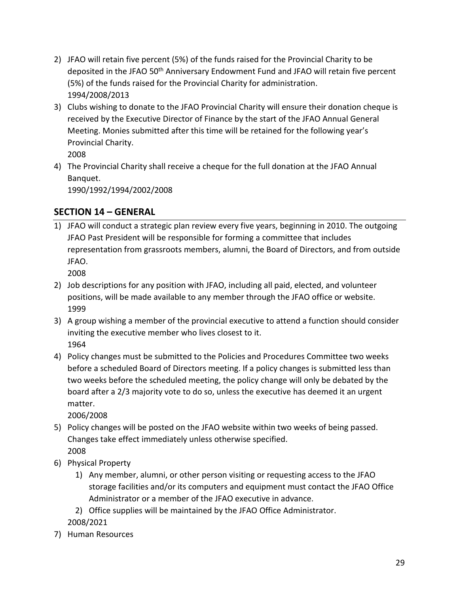- 2) JFAO will retain five percent (5%) of the funds raised for the Provincial Charity to be deposited in the JFAO 50<sup>th</sup> Anniversary Endowment Fund and JFAO will retain five percent (5%) of the funds raised for the Provincial Charity for administration. 1994/2008/2013
- 3) Clubs wishing to donate to the JFAO Provincial Charity will ensure their donation cheque is received by the Executive Director of Finance by the start of the JFAO Annual General Meeting. Monies submitted after this time will be retained for the following year's Provincial Charity.

4) The Provincial Charity shall receive a cheque for the full donation at the JFAO Annual Banquet.

1990/1992/1994/2002/2008

## **SECTION 14 – GENERAL**

1) JFAO will conduct a strategic plan review every five years, beginning in 2010. The outgoing JFAO Past President will be responsible for forming a committee that includes representation from grassroots members, alumni, the Board of Directors, and from outside JFAO.

2008

- 2) Job descriptions for any position with JFAO, including all paid, elected, and volunteer positions, will be made available to any member through the JFAO office or website. 1999
- 3) A group wishing a member of the provincial executive to attend a function should consider inviting the executive member who lives closest to it. 1964
- 4) Policy changes must be submitted to the Policies and Procedures Committee two weeks before a scheduled Board of Directors meeting. If a policy changes is submitted less than two weeks before the scheduled meeting, the policy change will only be debated by the board after a 2/3 majority vote to do so, unless the executive has deemed it an urgent matter.

- 5) Policy changes will be posted on the JFAO website within two weeks of being passed. Changes take effect immediately unless otherwise specified. 2008
- 6) Physical Property
	- 1) Any member, alumni, or other person visiting or requesting access to the JFAO storage facilities and/or its computers and equipment must contact the JFAO Office Administrator or a member of the JFAO executive in advance.
	- 2) Office supplies will be maintained by the JFAO Office Administrator. 2008/2021
- 7) Human Resources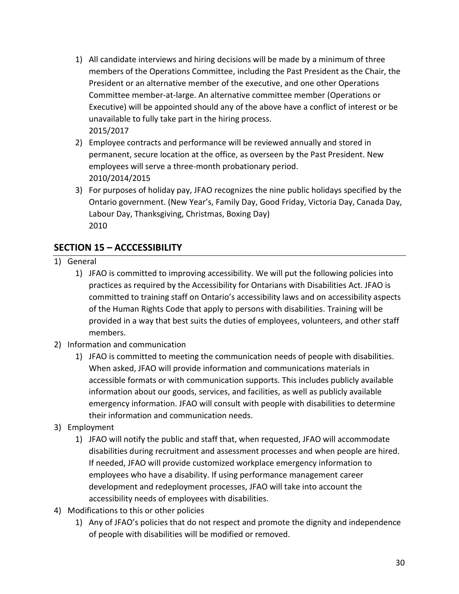- 1) All candidate interviews and hiring decisions will be made by a minimum of three members of the Operations Committee, including the Past President as the Chair, the President or an alternative member of the executive, and one other Operations Committee member-at-large. An alternative committee member (Operations or Executive) will be appointed should any of the above have a conflict of interest or be unavailable to fully take part in the hiring process. 2015/2017
- 2) Employee contracts and performance will be reviewed annually and stored in permanent, secure location at the office, as overseen by the Past President. New employees will serve a three-month probationary period. 2010/2014/2015
- 3) For purposes of holiday pay, JFAO recognizes the nine public holidays specified by the Ontario government. (New Year's, Family Day, Good Friday, Victoria Day, Canada Day, Labour Day, Thanksgiving, Christmas, Boxing Day) 2010

## **SECTION 15 – ACCCESSIBILITY**

- 1) General
	- 1) JFAO is committed to improving accessibility. We will put the following policies into practices as required by the Accessibility for Ontarians with Disabilities Act. JFAO is committed to training staff on Ontario's accessibility laws and on accessibility aspects of the Human Rights Code that apply to persons with disabilities. Training will be provided in a way that best suits the duties of employees, volunteers, and other staff members.
- 2) Information and communication
	- 1) JFAO is committed to meeting the communication needs of people with disabilities. When asked, JFAO will provide information and communications materials in accessible formats or with communication supports. This includes publicly available information about our goods, services, and facilities, as well as publicly available emergency information. JFAO will consult with people with disabilities to determine their information and communication needs.
- 3) Employment
	- 1) JFAO will notify the public and staff that, when requested, JFAO will accommodate disabilities during recruitment and assessment processes and when people are hired. If needed, JFAO will provide customized workplace emergency information to employees who have a disability. If using performance management career development and redeployment processes, JFAO will take into account the accessibility needs of employees with disabilities.
- 4) Modifications to this or other policies
	- 1) Any of JFAO's policies that do not respect and promote the dignity and independence of people with disabilities will be modified or removed.